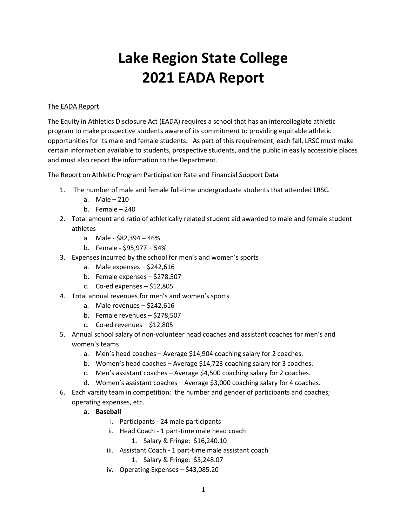# **Lake Region State College 2021 EADA Report**

## The EADA Report

The Equity in Athletics Disclosure Act (EADA) requires a school that has an intercollegiate athletic program to make prospective students aware of its commitment to providing equitable athletic opportunities for its male and female students. As part of this requirement, each fall, LRSC must make certain information available to students, prospective students, and the public in easily accessible places and must also report the information to the Department.

The Report on Athletic Program Participation Rate and Financial Support Data

- 1. The number of male and female full-time undergraduate students that attended LRSC.
	- a. Male 210
	- b. Female 240
- 2. Total amount and ratio of athletically related student aid awarded to male and female student athletes
	- a. Male \$82,394 46%
	- b. Female \$95,977 54%
- 3. Expenses incurred by the school for men's and women's sports
	- a. Male expenses \$242,616
	- b. Female expenses \$278,507
	- c. Co-ed expenses \$12,805
- 4. Total annual revenues for men's and women's sports
	- a. Male revenues \$242,616
	- b. Female revenues \$278,507
	- c. Co-ed revenues \$12,805
- 5. Annual school salary of non-volunteer head coaches and assistant coaches for men's and women's teams
	- a. Men's head coaches Average \$14,904 coaching salary for 2 coaches.
	- b. Women's head coaches Average \$14,723 coaching salary for 3 coaches.
	- c. Men's assistant coaches Average \$4,500 coaching salary for 2 coaches.
	- d. Women's assistant coaches Average \$3,000 coaching salary for 4 coaches.
- 6. Each varsity team in competition: the number and gender of participants and coaches; operating expenses, etc.
	- **a. Baseball** 
		- i. Participants 24 male participants
		- ii. Head Coach 1 part-time male head coach
			- 1. Salary & Fringe: \$16,240.10
		- iii. Assistant Coach 1 part-time male assistant coach
			- 1. Salary & Fringe: \$3,248.07
		- iv. Operating Expenses \$43,085.20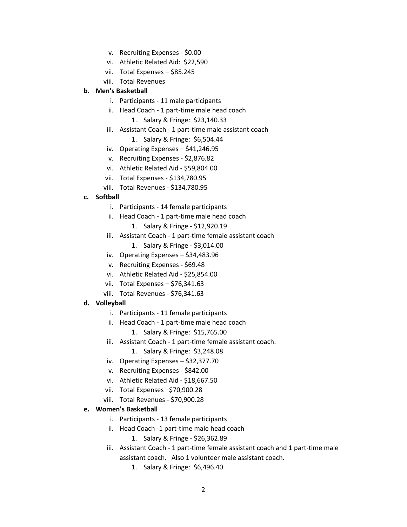- v. Recruiting Expenses \$0.00
- vi. Athletic Related Aid: \$22,590
- vii. Total Expenses \$85.245
- viii. Total Revenues

### **b. Men's Basketball**

- i. Participants 11 male participants
- ii. Head Coach 1 part-time male head coach
	- 1. Salary & Fringe: \$23,140.33
- iii. Assistant Coach 1 part-time male assistant coach 1. Salary & Fringe: \$6,504.44
- iv. Operating Expenses \$41,246.95
- v. Recruiting Expenses \$2,876.82
- vi. Athletic Related Aid \$59,804.00
- vii. Total Expenses \$134,780.95
- viii. Total Revenues \$134,780.95

#### **c. Softball**

- i. Participants 14 female participants
- ii. Head Coach 1 part-time male head coach
	- 1. Salary & Fringe \$12,920.19
- iii. Assistant Coach 1 part-time female assistant coach
	- 1. Salary & Fringe \$3,014.00
- iv. Operating Expenses \$34,483.96
- v. Recruiting Expenses \$69.48
- vi. Athletic Related Aid \$25,854.00
- vii. Total Expenses \$76,341.63
- viii. Total Revenues \$76,341.63

#### **d. Volleyball**

- i. Participants 11 female participants
- ii. Head Coach 1 part-time male head coach
	- 1. Salary & Fringe: \$15,765.00
- iii. Assistant Coach 1 part-time female assistant coach.
	- 1. Salary & Fringe: \$3,248.08
- iv. Operating Expenses \$32,377.70
- v. Recruiting Expenses \$842.00
- vi. Athletic Related Aid \$18,667.50
- vii. Total Expenses –\$70,900.28
- viii. Total Revenues \$70,900.28

#### **e. Women's Basketball**

- i. Participants 13 female participants
- ii. Head Coach -1 part-time male head coach
	- 1. Salary & Fringe \$26,362.89
- iii. Assistant Coach 1 part-time female assistant coach and 1 part-time male assistant coach. Also 1 volunteer male assistant coach.
	- 1. Salary & Fringe: \$6,496.40